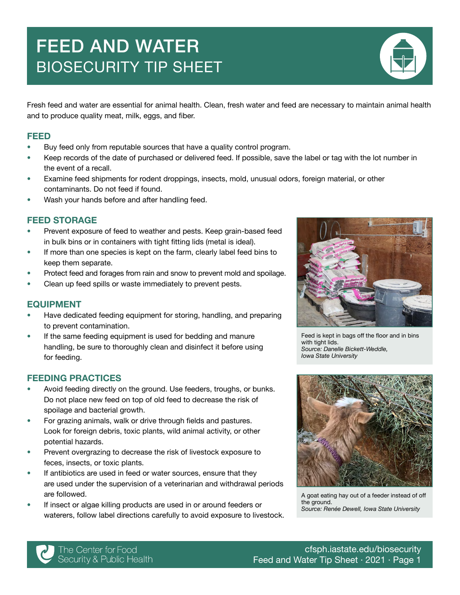# FEED AND WATER BIOSECURITY TIP SHEET



#### FEED

- Buy feed only from reputable sources that have a quality control program.
- Keep records of the date of purchased or delivered feed. If possible, save the label or tag with the lot number in the event of a recall.
- Examine feed shipments for rodent droppings, insects, mold, unusual odors, foreign material, or other contaminants. Do not feed if found.
- Wash your hands before and after handling feed.

#### FEED STORAGE

- Prevent exposure of feed to weather and pests. Keep grain-based feed in bulk bins or in containers with tight fitting lids (metal is ideal).
- If more than one species is kept on the farm, clearly label feed bins to keep them separate.
- Protect feed and forages from rain and snow to prevent mold and spoilage.
- Clean up feed spills or waste immediately to prevent pests.

#### EQUIPMENT

- Have dedicated feeding equipment for storing, handling, and preparing to prevent contamination.
- If the same feeding equipment is used for bedding and manure handling, be sure to thoroughly clean and disinfect it before using for feeding.

#### FEEDING PRACTICES

- Avoid feeding directly on the ground. Use feeders, troughs, or bunks. Do not place new feed on top of old feed to decrease the risk of spoilage and bacterial growth.
- For grazing animals, walk or drive through fields and pastures. Look for foreign debris, toxic plants, wild animal activity, or other potential hazards.
- Prevent overgrazing to decrease the risk of livestock exposure to feces, insects, or toxic plants.
- If antibiotics are used in feed or water sources, ensure that they are used under the supervision of a veterinarian and withdrawal periods are followed.
- If insect or algae killing products are used in or around feeders or waterers, follow label directions carefully to avoid exposure to livestock.



Feed is kept in bags off the floor and in bins with tight lids. *Source: Danelle Bickett-Weddle, Iowa State University*



A goat eating hay out of a feeder instead of off the ground *Source: Renée Dewell, Iowa State University*

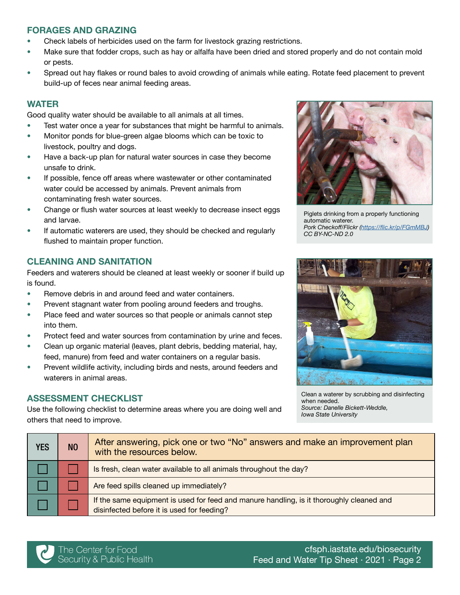# FORAGES AND GRAZING

- Check labels of herbicides used on the farm for livestock grazing restrictions.
- Make sure that fodder crops, such as hay or alfalfa have been dried and stored properly and do not contain mold or pests.
- Spread out hay flakes or round bales to avoid crowding of animals while eating. Rotate feed placement to prevent build-up of feces near animal feeding areas.

## WATER

Good quality water should be available to all animals at all times.

- Test water once a year for substances that might be harmful to animals.
- Monitor ponds for blue-green algae blooms which can be toxic to livestock, poultry and dogs.
- Have a back-up plan for natural water sources in case they become unsafe to drink.
- If possible, fence off areas where wastewater or other contaminated water could be accessed by animals. Prevent animals from contaminating fresh water sources.
- Change or flush water sources at least weekly to decrease insect eggs and larvae.
- If automatic waterers are used, they should be checked and regularly flushed to maintain proper function.

# CLEANING AND SANITATION

Feeders and waterers should be cleaned at least weekly or sooner if build up is found.

- Remove debris in and around feed and water containers.
- Prevent stagnant water from pooling around feeders and troughs.
- Place feed and water sources so that people or animals cannot step into them.
- Protect feed and water sources from contamination by urine and feces.
- Clean up organic material (leaves, plant debris, bedding material, hay, feed, manure) from feed and water containers on a regular basis.
- Prevent wildlife activity, including birds and nests, around feeders and waterers in animal areas.

## ASSESSMENT CHECKLIST

Use the following checklist to determine areas where you are doing well and others that need to improve.



Piglets drinking from a properly functioning automatic waterer. *Pork Checkoff/Flickr (*<https://flic.kr/p/FGmMBJ>*)*  CC BY-NC-ND 2.0



Clean a waterer by scrubbing and disinfecting when needed. *Source: Danelle Bickett-Weddle, Iowa State University*

| <b>YES</b> | N <sub>O</sub> | After answering, pick one or two "No" answers and make an improvement plan<br>with the resources below.                                |
|------------|----------------|----------------------------------------------------------------------------------------------------------------------------------------|
|            |                | Is fresh, clean water available to all animals throughout the day?                                                                     |
|            |                | Are feed spills cleaned up immediately?                                                                                                |
|            |                | If the same equipment is used for feed and manure handling, is it thoroughly cleaned and<br>disinfected before it is used for feeding? |